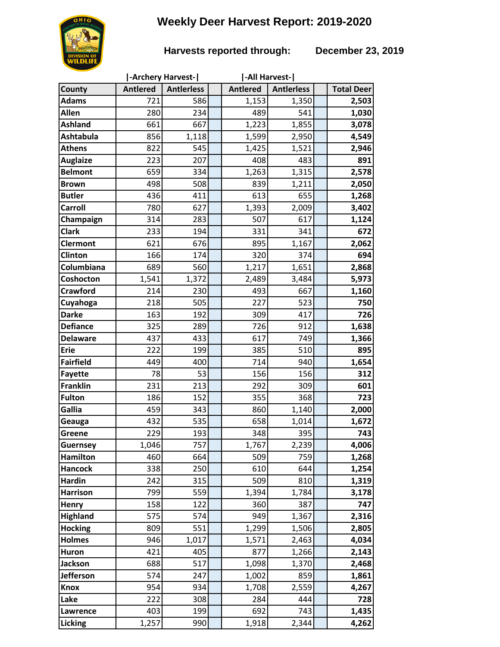# **Weekly Deer Harvest Report: 2019-2020**

### **Harvests reported through: December 23, 2019**

|                  | -Archery Harvest- |                   |  | -All Harvest-   |                   |  |                   |
|------------------|-------------------|-------------------|--|-----------------|-------------------|--|-------------------|
| County           | <b>Antlered</b>   | <b>Antierless</b> |  | <b>Antlered</b> | <b>Antierless</b> |  | <b>Total Deer</b> |
| <b>Adams</b>     | 721               | 586               |  | 1,153           | 1,350             |  | 2,503             |
| <b>Allen</b>     | 280               | 234               |  | 489             | 541               |  | 1,030             |
| <b>Ashland</b>   | 661               | 667               |  | 1,223           | 1,855             |  | 3,078             |
| <b>Ashtabula</b> | 856               | 1,118             |  | 1,599           | 2,950             |  | 4,549             |
| <b>Athens</b>    | 822               | 545               |  | 1,425           | 1,521             |  | 2,946             |
| <b>Auglaize</b>  | 223               | 207               |  | 408             | 483               |  | 891               |
| <b>Belmont</b>   | 659               | 334               |  | 1,263           | 1,315             |  | 2,578             |
| <b>Brown</b>     | 498               | 508               |  | 839             | 1,211             |  | 2,050             |
| <b>Butler</b>    | 436               | 411               |  | 613             | 655               |  | 1,268             |
| Carroll          | 780               | 627               |  | 1,393           | 2,009             |  | 3,402             |
| Champaign        | 314               | 283               |  | 507             | 617               |  | 1,124             |
| <b>Clark</b>     | 233               | 194               |  | 331             | 341               |  | 672               |
| <b>Clermont</b>  | 621               | 676               |  | 895             | 1,167             |  | 2,062             |
| Clinton          | 166               | 174               |  | 320             | 374               |  | 694               |
| Columbiana       | 689               | 560               |  | 1,217           | 1,651             |  | 2,868             |
| Coshocton        | 1,541             | 1,372             |  | 2,489           | 3,484             |  | 5,973             |
| <b>Crawford</b>  | 214               | 230               |  | 493             | 667               |  | 1,160             |
| Cuyahoga         | 218               | 505               |  | 227             | 523               |  | 750               |
| <b>Darke</b>     | 163               | 192               |  | 309             | 417               |  | 726               |
| <b>Defiance</b>  | 325               | 289               |  | 726             | 912               |  | 1,638             |
| <b>Delaware</b>  | 437               | 433               |  | 617             | 749               |  | 1,366             |
| <b>Erie</b>      | 222               | 199               |  | 385             | 510               |  | 895               |
| <b>Fairfield</b> | 449               | 400               |  | 714             | 940               |  | 1,654             |
| <b>Fayette</b>   | 78                | 53                |  | 156             | 156               |  | 312               |
| <b>Franklin</b>  | 231               | 213               |  | 292             | 309               |  | 601               |
| <b>Fulton</b>    | 186               | 152               |  | 355             | 368               |  | 723               |
| Gallia           | 459               | 343               |  | 860             | 1,140             |  | 2,000             |
| Geauga           | 432               | 535               |  | 658             | 1,014             |  | 1,672             |
| Greene           | 229               | 193               |  | 348             | 395               |  | 743               |
| <b>Guernsey</b>  | 1,046             | 757               |  | 1,767           | 2,239             |  | 4,006             |
| <b>Hamilton</b>  | 460               | 664               |  | 509             | 759               |  | 1,268             |
| <b>Hancock</b>   | 338               | 250               |  | 610             | 644               |  | 1,254             |
| <b>Hardin</b>    | 242               | 315               |  | 509             | 810               |  | 1,319             |
| <b>Harrison</b>  | 799               | 559               |  | 1,394           | 1,784             |  | 3,178             |
| Henry            | 158               | 122               |  | 360             | 387               |  | 747               |
| <b>Highland</b>  | 575               | 574               |  | 949             | 1,367             |  | 2,316             |
| <b>Hocking</b>   | 809               | 551               |  | 1,299           | 1,506             |  | 2,805             |
| <b>Holmes</b>    | 946               | 1,017             |  | 1,571           | 2,463             |  | 4,034             |
| Huron            | 421               | 405               |  | 877             | 1,266             |  | 2,143             |
| <b>Jackson</b>   | 688               | 517               |  | 1,098           | 1,370             |  | 2,468             |
| <b>Jefferson</b> | 574               | 247               |  | 1,002           | 859               |  | 1,861             |
| <b>Knox</b>      | 954               | 934               |  | 1,708           | 2,559             |  | 4,267             |
| Lake             | 222               | 308               |  | 284             | 444               |  | 728               |
| Lawrence         | 403               | 199               |  | 692             | 743               |  | 1,435             |
| Licking          | 1,257             | 990               |  | 1,918           | 2,344             |  | 4,262             |